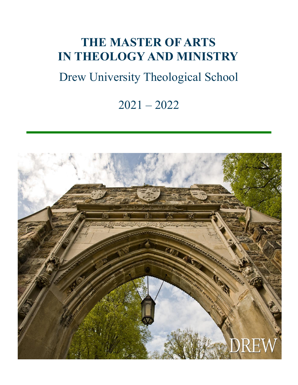## **THE MASTER OF ARTS IN THEOLOGY AND MINISTRY**

# Drew University Theological School

## 2021 – 2022

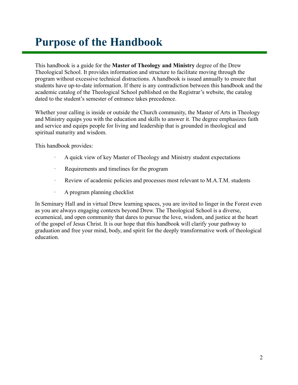## <span id="page-1-0"></span>**Purpose of the Handbook**

This handbook is a guide for the **Master of Theology and Ministry** degree of the Drew Theological School. It provides information and structure to facilitate moving through the program without excessive technical distractions. A handbook is issued annually to ensure that students have up-to-date information. If there is any contradiction between this handbook and the academic catalog of the Theological School published on the Registrar's website, the catalog dated to the student's semester of entrance takes precedence.

Whether your calling is inside or outside the Church community, the Master of Arts in Theology and Ministry equips you with the education and skills to answer it. The degree emphasizes faith and service and equips people for living and leadership that is grounded in theological and spiritual maturity and wisdom.

This handbook provides:

- · A quick view of key Master of Theology and Ministry student expectations
- Requirements and timelines for the program
- · Review of academic policies and processes most relevant to M.A.T.M. students
- · A program planning checklist

In Seminary Hall and in virtual Drew learning spaces, you are invited to linger in the Forest even as you are always engaging contexts beyond Drew. The Theological School is a diverse, ecumenical, and open community that dares to pursue the love, wisdom, and justice at the heart of the gospel of Jesus Christ. It is our hope that this handbook will clarify your pathway to graduation and free your mind, body, and spirit for the deeply transformative work of theological education.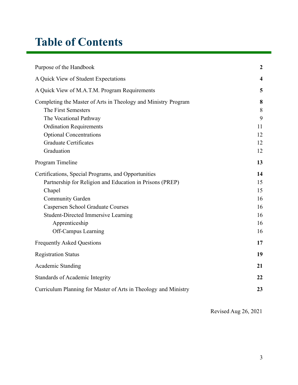## **Table of Contents**

| Purpose of the Handbook                                         | $\boldsymbol{2}$ |
|-----------------------------------------------------------------|------------------|
| A Quick View of Student Expectations                            | 4                |
| A Quick View of M.A.T.M. Program Requirements                   | 5                |
| Completing the Master of Arts in Theology and Ministry Program  | 8                |
| The First Semesters                                             | 8                |
| The Vocational Pathway                                          | 9                |
| <b>Ordination Requirements</b>                                  | 11               |
| <b>Optional Concentrations</b>                                  | 12               |
| <b>Graduate Certificates</b>                                    | 12               |
| Graduation                                                      | 12               |
| Program Timeline                                                | 13               |
| Certifications, Special Programs, and Opportunities             | 14               |
| Partnership for Religion and Education in Prisons (PREP)        |                  |
| Chapel                                                          | 15               |
| <b>Community Garden</b>                                         | 16               |
| <b>Caspersen School Graduate Courses</b>                        | 16               |
| <b>Student-Directed Immersive Learning</b>                      | 16               |
| Apprenticeship                                                  | 16               |
| Off-Campus Learning                                             | 16               |
| <b>Frequently Asked Questions</b>                               | 17               |
| <b>Registration Status</b>                                      | 19               |
| <b>Academic Standing</b>                                        | 21               |
| Standards of Academic Integrity                                 | 22               |
| Curriculum Planning for Master of Arts in Theology and Ministry | 23               |

Revised Aug 26, 2021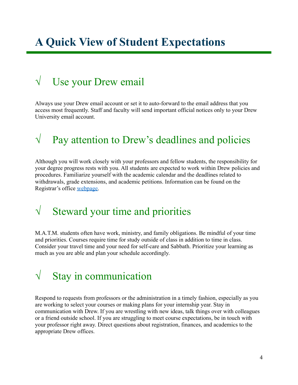## <span id="page-3-0"></span>**A Quick View of Student Expectations**

### $\sqrt{\phantom{a}}$  Use your Drew email

Always use your Drew email account or set it to auto-forward to the email address that you access most frequently. Staff and faculty will send important official notices only to your Drew University email account.

### $\sqrt{\phantom{a}}$  Pay attention to Drew's deadlines and policies

Although you will work closely with your professors and fellow students, the responsibility for your degree progress rests with you. All students are expected to work within Drew policies and procedures. Familiarize yourself with the academic calendar and the deadlines related to withdrawals, grade extensions, and academic petitions. Information can be found on the Registrar's office [webpage.](http://www.drew.edu/registrars-office/)

### $\sqrt{\phantom{a}}$  Steward your time and priorities

M.A.T.M. students often have work, ministry, and family obligations. Be mindful of your time and priorities. Courses require time for study outside of class in addition to time in class. Consider your travel time and your need for self-care and Sabbath. Prioritize your learning as much as you are able and plan your schedule accordingly.

### $\sqrt{\phantom{a}}$  Stay in communication

Respond to requests from professors or the administration in a timely fashion, especially as you are working to select your courses or making plans for your internship year. Stay in communication with Drew. If you are wrestling with new ideas, talk things over with colleagues or a friend outside school. If you are struggling to meet course expectations, be in touch with your professor right away. Direct questions about registration, finances, and academics to the appropriate Drew offices.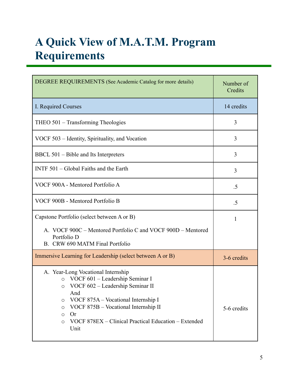# <span id="page-4-0"></span>**A Quick View of M.A.T.M. Program Requirements**

| DEGREE REQUIREMENTS (See Academic Catalog for more details)                                                                                                                                                                                                                                                                              | Number of<br>Credits |
|------------------------------------------------------------------------------------------------------------------------------------------------------------------------------------------------------------------------------------------------------------------------------------------------------------------------------------------|----------------------|
| I. Required Courses                                                                                                                                                                                                                                                                                                                      | 14 credits           |
| THEO 501 – Transforming Theologies                                                                                                                                                                                                                                                                                                       | 3                    |
| VOCF 503 – Identity, Spirituality, and Vocation                                                                                                                                                                                                                                                                                          | 3                    |
| BBCL 501 – Bible and Its Interpreters                                                                                                                                                                                                                                                                                                    | 3                    |
| INTF $501 - Global$ Faiths and the Earth                                                                                                                                                                                                                                                                                                 | 3                    |
| VOCF 900A - Mentored Portfolio A                                                                                                                                                                                                                                                                                                         | .5                   |
| VOCF 900B - Mentored Portfolio B                                                                                                                                                                                                                                                                                                         | .5                   |
| Capstone Portfolio (select between A or B)                                                                                                                                                                                                                                                                                               | 1                    |
| A. VOCF 900C – Mentored Portfolio C and VOCF 900D – Mentored<br>Portfolio D<br>B. CRW 690 MATM Final Portfolio                                                                                                                                                                                                                           |                      |
| Immersive Learning for Leadership (select between A or B)                                                                                                                                                                                                                                                                                | 3-6 credits          |
| A. Year-Long Vocational Internship<br>VOCF 601 - Leadership Seminar I<br>$\circ$<br>VOCF 602 - Leadership Seminar II<br>$\circ$<br>And<br>VOCF 875A – Vocational Internship I<br>O<br>VOCF 875B - Vocational Internship II<br>$\circ$<br><b>Or</b><br>$\circ$<br>VOCF 878EX – Clinical Practical Education – Extended<br>$\circ$<br>Unit | 5-6 credits          |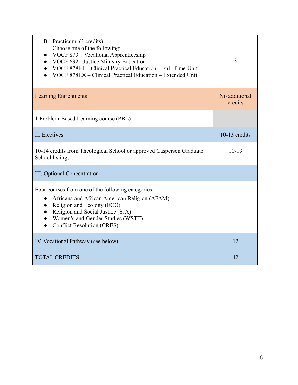| B. Practicum (3 credits)<br>Choose one of the following:<br>VOCF 873 - Vocational Apprenticeship<br>VOCF 632 - Justice Ministry Education<br>VOCF 878FT – Clinical Practical Education – Full-Time Unit<br>VOCF 878EX – Clinical Practical Education – Extended Unit | 3                        |
|----------------------------------------------------------------------------------------------------------------------------------------------------------------------------------------------------------------------------------------------------------------------|--------------------------|
| <b>Learning Enrichments</b>                                                                                                                                                                                                                                          | No additional<br>credits |
| 1 Problem-Based Learning course (PBL)                                                                                                                                                                                                                                |                          |
| II. Electives                                                                                                                                                                                                                                                        | 10-13 credits            |
| 10-14 credits from Theological School or approved Caspersen Graduate<br>School listings                                                                                                                                                                              | $10-13$                  |
| <b>III.</b> Optional Concentration                                                                                                                                                                                                                                   |                          |
| Four courses from one of the following categories:<br>Africana and African American Religion (AFAM)<br>Religion and Ecology (ECO)<br>Religion and Social Justice (SJA)<br>Women's and Gender Studies (WSTT)<br><b>Conflict Resolution (CRES)</b>                     |                          |
| IV. Vocational Pathway (see below)                                                                                                                                                                                                                                   | 12                       |
| <b>TOTAL CREDITS</b>                                                                                                                                                                                                                                                 | 42                       |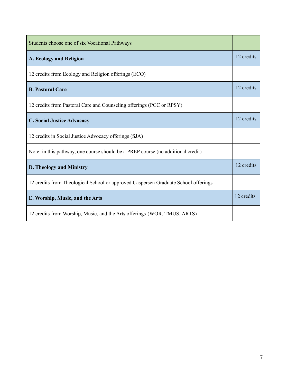| Students choose one of six Vocational Pathways                                     |            |
|------------------------------------------------------------------------------------|------------|
| A. Ecology and Religion                                                            | 12 credits |
| 12 credits from Ecology and Religion offerings (ECO)                               |            |
| <b>B. Pastoral Care</b>                                                            | 12 credits |
| 12 credits from Pastoral Care and Counseling offerings (PCC or RPSY)               |            |
| <b>C. Social Justice Advocacy</b>                                                  |            |
| 12 credits in Social Justice Advocacy offerings (SJA)                              |            |
| Note: in this pathway, one course should be a PREP course (no additional credit)   |            |
| <b>D. Theology and Ministry</b>                                                    |            |
| 12 credits from Theological School or approved Caspersen Graduate School offerings |            |
| E. Worship, Music, and the Arts                                                    |            |
| 12 credits from Worship, Music, and the Arts offerings (WOR, TMUS, ARTS)           |            |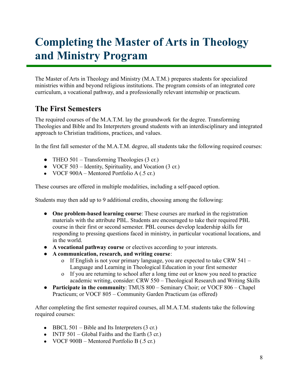## <span id="page-7-0"></span>**Completing the Master of Arts in Theology and Ministry Program**

The Master of Arts in Theology and Ministry (M.A.T.M.) prepares students for specialized ministries within and beyond religious institutions. The program consists of an integrated core curriculum, a vocational pathway, and a professionally relevant internship or practicum.

#### <span id="page-7-1"></span>**The First Semesters**

The required courses of the M.A.T.M. lay the groundwork for the degree. Transforming Theologies and Bible and Its Interpreters ground students with an interdisciplinary and integrated approach to Christian traditions, practices, and values.

In the first fall semester of the M.A.T.M. degree, all students take the following required courses:

- THEO 501 Transforming Theologies (3 cr.)
- VOCF 503 Identity, Spirituality, and Vocation (3 cr.)
- VOCF 900A Mentored Portfolio A  $(.5 \text{ cr.})$

These courses are offered in multiple modalities, including a self-paced option.

Students may then add up to 9 additional credits, choosing among the following:

- **One problem-based learning course**: These courses are marked in the registration materials with the attribute PBL. Students are encouraged to take their required PBL course in their first or second semester. PBL courses develop leadership skills for responding to pressing questions faced in ministry, in particular vocational locations, and in the world.
- **A vocational pathway course** or electives according to your interests.
- **A communication, research, and writing course**:
	- o If English is not your primary language, you are expected to take CRW  $541 -$ Language and Learning in Theological Education in your first semester
	- o If you are returning to school after a long time out or know you need to practice academic writing, consider: CRW 550 – Theological Research and Writing Skills
- **Participate in the community**: TMUS 800 Seminary Choir; or VOCF 806 Chapel Practicum; or VOCF 805 – Community Garden Practicum (as offered)

After completing the first semester required courses, all M.A.T.M. students take the following required courses:

- BBCL 501 Bible and Its Interpreters  $(3 \text{ cr.})$
- INTF  $501 Global$  Faiths and the Earth (3 cr.)
- VOCF  $900B$  Mentored Portfolio B (.5 cr.)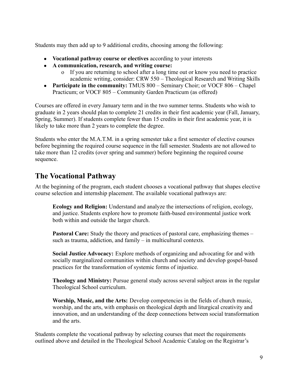Students may then add up to 9 additional credits, choosing among the following:

- **Vocational pathway course or electives** according to your interests
- **A communication, research, and writing course:**
	- o If you are returning to school after a long time out or know you need to practice academic writing, consider: CRW 550 – Theological Research and Writing Skills
- **Participate in the community:** TMUS 800 Seminary Choir; or VOCF 806 Chapel Practicum; or VOCF 805 – Community Garden Practicum (as offered)

Courses are offered in every January term and in the two summer terms. Students who wish to graduate in 2 years should plan to complete 21 credits in their first academic year (Fall, January, Spring, Summer). If students complete fewer than 15 credits in their first academic year, it is likely to take more than 2 years to complete the degree.

Students who enter the M.A.T.M. in a spring semester take a first semester of elective courses before beginning the required course sequence in the fall semester. Students are not allowed to take more than 12 credits (over spring and summer) before beginning the required course sequence.

#### <span id="page-8-0"></span>**The Vocational Pathway**

At the beginning of the program, each student chooses a vocational pathway that shapes elective course selection and internship placement. The available vocational pathways are:

**Ecology and Religion:** Understand and analyze the intersections of religion, ecology, and justice. Students explore how to promote faith-based environmental justice work both within and outside the larger church.

**Pastoral Care:** Study the theory and practices of pastoral care, emphasizing themes – such as trauma, addiction, and family – in multicultural contexts.

**Social Justice Advocacy:** Explore methods of organizing and advocating for and with socially marginalized communities within church and society and develop gospel-based practices for the transformation of systemic forms of injustice.

**Theology and Ministry:** Pursue general study across several subject areas in the regular Theological School curriculum.

**Worship, Music, and the Arts:** Develop competencies in the fields of church music, worship, and the arts, with emphasis on theological depth and liturgical creativity and innovation, and an understanding of the deep connections between social transformation and the arts.

Students complete the vocational pathway by selecting courses that meet the requirements outlined above and detailed in the Theological School Academic Catalog on the Registrar's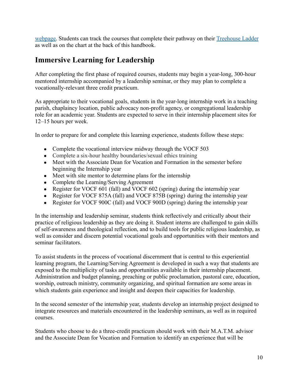[webpage.](http://www.drew.edu/registrars-office/) Students can track the courses that complete their pathway on their [Treehouse Ladder](http://ladder.drew.edu/) as well as on the chart at the back of this handbook.

### **Immersive Learning for Leadership**

After completing the first phase of required courses, students may begin a year-long, 300-hour mentored internship accompanied by a leadership seminar, or they may plan to complete a vocationally-relevant three credit practicum.

As appropriate to their vocational goals, students in the year-long internship work in a teaching parish, chaplaincy location, public advocacy non-profit agency, or congregational leadership role for an academic year. Students are expected to serve in their internship placement sites for 12–15 hours per week.

In order to prepare for and complete this learning experience, students follow these steps:

- Complete the vocational interview midway through the VOCF 503
- Complete a six-hour healthy boundaries/sexual ethics training
- Meet with the Associate Dean for Vocation and Formation in the semester before beginning the Internship year
- Meet with site mentor to determine plans for the internship
- Complete the Learning/Serving Agreement
- Register for VOCF 601 (fall) and VOCF 602 (spring) during the internship year
- Register for VOCF 875A (fall) and VOCF 875B (spring) during the internship year
- Register for VOCF 900C (fall) and VOCF 900D (spring) during the internship year

In the internship and leadership seminar, students think reflectively and critically about their practice of religious leadership as they are doing it. Student interns are challenged to gain skills of self-awareness and theological reflection, and to build tools for public religious leadership, as well as consider and discern potential vocational goals and opportunities with their mentors and seminar facilitators.

To assist students in the process of vocational discernment that is central to this experiential learning program, the Learning/Serving Agreement is developed in such a way that students are exposed to the multiplicity of tasks and opportunities available in their internship placement. Administration and budget planning, preaching or public proclamation, pastoral care, education, worship, outreach ministry, community organizing, and spiritual formation are some areas in which students gain experience and insight and deepen their capacities for leadership.

In the second semester of the internship year, students develop an internship project designed to integrate resources and materials encountered in the leadership seminars, as well as in required courses.

Students who choose to do a three-credit practicum should work with their M.A.T.M. advisor and the Associate Dean for Vocation and Formation to identify an experience that will be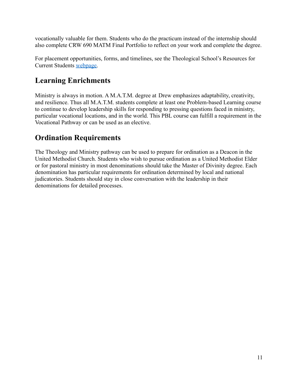vocationally valuable for them. Students who do the practicum instead of the internship should also complete CRW 690 MATM Final Portfolio to reflect on your work and complete the degree.

For placement opportunities, forms, and timelines, see the Theological School's Resources for Current Students [webpage.](http://www.drew.edu/theological-school/resources/)

### **Learning Enrichments**

Ministry is always in motion. A M.A.T.M. degree at Drew emphasizes adaptability, creativity, and resilience. Thus all M.A.T.M. students complete at least one Problem-based Learning course to continue to develop leadership skills for responding to pressing questions faced in ministry, particular vocational locations, and in the world. This PBL course can fulfill a requirement in the Vocational Pathway or can be used as an elective.

### <span id="page-10-0"></span>**Ordination Requirements**

The Theology and Ministry pathway can be used to prepare for ordination as a Deacon in the United Methodist Church. Students who wish to pursue ordination as a United Methodist Elder or for pastoral ministry in most denominations should take the Master of Divinity degree. Each denomination has particular requirements for ordination determined by local and national judicatories. Students should stay in close conversation with the leadership in their denominations for detailed processes.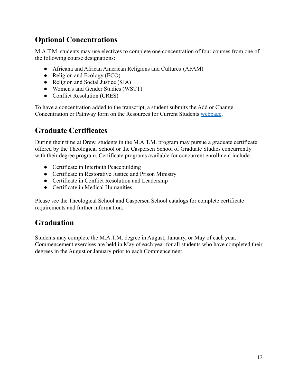### <span id="page-11-0"></span>**Optional Concentrations**

M.A.T.M. students may use electives to complete one concentration of four courses from one of the following course designations:

- Africana and African American Religions and Cultures (AFAM)
- Religion and Ecology (ECO)
- Religion and Social Justice (SJA)
- Women's and Gender Studies (WSTT)
- Conflict Resolution (CRES)

To have a concentration added to the transcript, a student submits the Add or Change Concentration or Pathway form on the Resources for Current Students [webpage](http://www.drew.edu/theological-school/resources/).

### <span id="page-11-1"></span>**Graduate Certificates**

During their time at Drew, students in the M.A.T.M. program may pursue a graduate certificate offered by the Theological School or the Caspersen School of Graduate Studies concurrently with their degree program. Certificate programs available for concurrent enrollment include:

- Certificate in Interfaith Peacebuilding
- Certificate in Restorative Justice and Prison Ministry
- Certificate in Conflict Resolution and Leadership
- Certificate in Medical Humanities

Please see the Theological School and Caspersen School catalogs for complete certificate requirements and further information.

### <span id="page-11-2"></span>**Graduation**

Students may complete the M.A.T.M. degree in August, January, or May of each year. Commencement exercises are held in May of each year for all students who have completed their degrees in the August or January prior to each Commencement.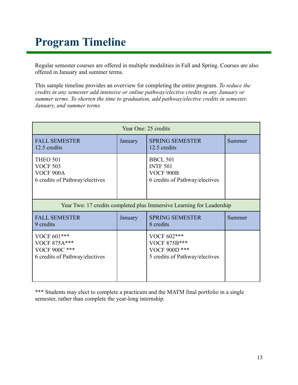## <span id="page-12-0"></span>**Program Timeline**

Regular semester courses are offered in multiple modalities in Fall and Spring. Courses are also offered in January and summer terms.

This sample timeline provides an overview for completing the entire program. *To reduce the credits in any semester add intensive or online pathway/elective credits in any January or summer terms. To shorten the time to graduation, add pathway/elective credits in semester, January, and summer terms.*

| Year One: 25 credits                                                                     |         |                                                                                   |        |
|------------------------------------------------------------------------------------------|---------|-----------------------------------------------------------------------------------|--------|
| <b>FALL SEMESTER</b><br>12.5 credits                                                     | January | <b>SPRING SEMESTER</b><br>12.5 credits                                            | Summer |
| <b>THEO 501</b><br><b>VOCF 503</b><br><b>VOCF 900A</b><br>6 credits of Pathway/electives |         | <b>BBCL 501</b><br><b>INTF 501</b><br>VOCF 900B<br>6 credits of Pathway/electives |        |
| Year Two: 17 credits completed plus Immersive Learning for Leadership                    |         |                                                                                   |        |
| <b>FALL SEMESTER</b><br>9 credits                                                        | January | <b>SPRING SEMESTER</b><br>8 credits                                               | Summer |
| VOCF 601***<br><b>VOCF 875A***</b><br>VOCF 900C ***<br>6 credits of Pathway/electives    |         | VOCF 602***<br>VOCF 875B***<br>VOCF 900D ***<br>5 credits of Pathway/electives    |        |

\*\*\* Students may elect to complete a practicum and the MATM final portfolio in a single semester, rather than complete the year-long internship.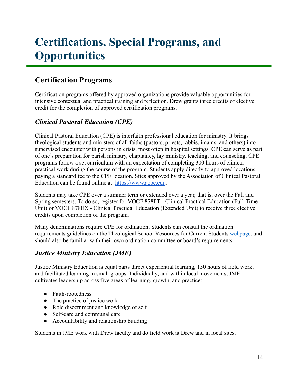## <span id="page-13-0"></span>**Certifications, Special Programs, and Opportunities**

### **Certification Programs**

Certification programs offered by approved organizations provide valuable opportunities for intensive contextual and practical training and reflection. Drew grants three credits of elective credit for the completion of approved certification programs.

#### *Clinical Pastoral Education (CPE)*

Clinical Pastoral Education (CPE) is interfaith professional education for ministry. It brings theological students and ministers of all faiths (pastors, priests, rabbis, imams, and others) into supervised encounter with persons in crisis, most often in hospital settings. CPE can serve as part of one's preparation for parish ministry, chaplaincy, lay ministry, teaching, and counseling. CPE programs follow a set curriculum with an expectation of completing 300 hours of clinical practical work during the course of the program. Students apply directly to approved locations, paying a standard fee to the CPE location. Sites approved by the Association of Clinical Pastoral Education can be found online at: <https://www.acpe.edu>.

Students may take CPE over a summer term or extended over a year, that is, over the Fall and Spring semesters. To do so, register for VOCF 878FT - Clinical Practical Education (Full-Time Unit) or VOCF 878EX - Clinical Practical Education (Extended Unit) to receive three elective credits upon completion of the program.

Many denominations require CPE for ordination. Students can consult the ordination requirements guidelines on the Theological School Resources for Current Students [webpage](http://www.drew.edu/theological-school/resources/), and should also be familiar with their own ordination committee or board's requirements.

#### *Justice Ministry Education (JME)*

Justice Ministry Education is equal parts direct experiential learning, 150 hours of field work, and facilitated learning in small groups. Individually, and within local movements, JME cultivates leadership across five areas of learning, growth, and practice:

- Faith-rootedness
- The practice of justice work
- Role discernment and knowledge of self
- Self-care and communal care
- Accountability and relationship building

Students in JME work with Drew faculty and do field work at Drew and in local sites.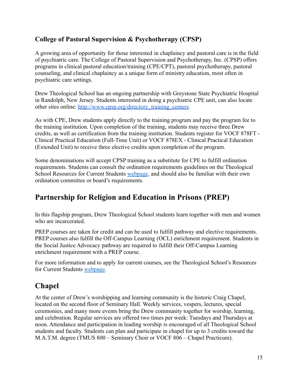#### **College of Pastoral Supervision & Psychotherapy (CPSP)**

A growing area of opportunity for those interested in chaplaincy and pastoral care is in the field of psychiatric care. The College of Pastoral Supervision and Psychotherapy, Inc. (CPSP) offers programs in clinical pastoral education/training (CPE/CPT), pastoral psychotherapy, pastoral counseling, and clinical chaplaincy as a unique form of ministry education, most often in psychiatric care settings.

Drew Theological School has an ongoing partnership with Greystone State Psychiatric Hospital in Randolph, New Jersey. Students interested in doing a psychiatric CPE unit, can also locate other sites online: [http://www.cpsp.org/directory\\_training\\_centers.](http://www.cpsp.org/directory_training_centers)

As with CPE, Drew students apply directly to the training program and pay the program fee to the training institution. Upon completion of the training, students may receive three Drew credits, as well as certification from the training institution. Students register for VOCF 878FT - Clinical Practical Education (Full-Time Unit) or VOCF 878EX - Clinical Practical Education (Extended Unit) to receive three elective credits upon completion of the program.

Some denominations will accept CPSP training as a substitute for CPE to fulfill ordination requirements. Students can consult the ordination requirements guidelines on the Theological School Resources for Current Students [webpage](http://www.drew.edu/theological-school/resources/), and should also be familiar with their own ordination committee or board's requirements.

### <span id="page-14-0"></span>**Partnership for Religion and Education in Prisons (PREP)**

In this flagship program, Drew Theological School students learn together with men and women who are incarcerated.

PREP courses are taken for credit and can be used to fulfill pathway and elective requirements. PREP courses also fulfill the Off-Campus Learning (OCL) enrichment requirement. Students in the Social Justice Advocacy pathway are required to fulfill their Off-Campus Learning enrichment requirement with a PREP course.

For more information and to apply for current courses, see the Theological School's Resources for Current Students [webpage.](http://www.drew.edu/theological-school/resources/)

### <span id="page-14-1"></span>**Chapel**

At the center of Drew's worshipping and learning community is the historic Craig Chapel, located on the second floor of Seminary Hall. Weekly services, vespers, lectures, special ceremonies, and many more events bring the Drew community together for worship, learning, and celebration. Regular services are offered two times per week: Tuesdays and Thursdays at noon. Attendance and participation in leading worship is encouraged of all Theological School students and faculty. Students can plan and participate in chapel for up to 3 credits toward the M.A.T.M. degree (TMUS 800 – Seminary Choir or VOCF 806 – Chapel Practicum).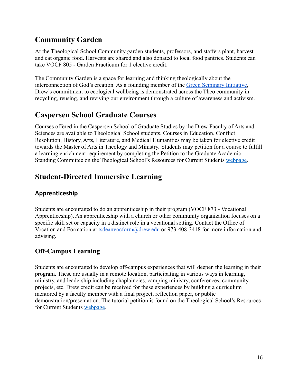### <span id="page-15-0"></span>**Community Garden**

At the Theological School Community garden students, professors, and staffers plant, harvest and eat organic food. Harvests are shared and also donated to local food pantries. Students can take VOCF 805 - Garden Practicum for 1 elective credit.

The Community Garden is a space for learning and thinking theologically about the interconnection of God's creation. As a founding member of the [Green Seminary Initiative,](https://www.greenseminaries.org/) Drew's commitment to ecological wellbeing is demonstrated across the Theo community in recycling, reusing, and reviving our environment through a culture of awareness and activism.

### <span id="page-15-1"></span>**Caspersen School Graduate Courses**

Courses offered in the Caspersen School of Graduate Studies by the Drew Faculty of Arts and Sciences are available to Theological School students. Courses in Education, Conflict Resolution, History, Arts, Literature, and Medical Humanities may be taken for elective credit towards the Master of Arts in Theology and Ministry. Students may petition for a course to fulfill a learning enrichment requirement by completing the Petition to the Graduate Academic Standing Committee on the Theological School's Resources for Current Students [webpage](http://www.drew.edu/theological-school/resources/).

### <span id="page-15-2"></span>**Student-Directed Immersive Learning**

#### <span id="page-15-3"></span>**Apprenticeship**

Students are encouraged to do an apprenticeship in their program (VOCF 873 - Vocational Apprenticeship). An apprenticeship with a church or other community organization focuses on a specific skill set or capacity in a distinct role in a vocational setting. Contact the Office of Vocation and Formation at [tsdeanvocform@drew.edu](mailto:tsdeanvocform@drew.edu) or 973-408-3418 for more information and advising.

#### <span id="page-15-4"></span>**Off-Campus Learning**

Students are encouraged to develop off-campus experiences that will deepen the learning in their program. These are usually in a remote location, participating in various ways in learning, ministry, and leadership including chaplaincies, camping ministry, conferences, community projects, etc. Drew credit can be received for these experiences by building a curriculum mentored by a faculty member with a final project, reflection paper, or public demonstration/presentation. The tutorial petition is found on the Theological School's Resources for Current Students [webpage.](http://www.drew.edu/theological-school/resources/)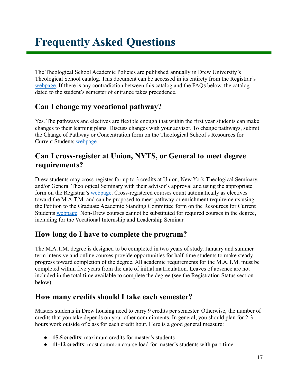<span id="page-16-0"></span>The Theological School Academic Policies are published annually in Drew University's Theological School catalog. This document can be accessed in its entirety from the Registrar's [webpage.](http://www.drew.edu/registrars-office/) If there is any contradiction between this catalog and the FAQs below, the catalog dated to the student's semester of entrance takes precedence.

### **Can I change my vocational pathway?**

Yes. The pathways and electives are flexible enough that within the first year students can make changes to their learning plans. Discuss changes with your advisor. To change pathways, submit the Change of Pathway or Concentration form on the Theological School's Resources for Current Students [webpage.](http://www.drew.edu/theological-school/resources/)

#### **Can I cross-register at Union, NYTS, or General to meet degree requirements?**

Drew students may cross-register for up to 3 credits at Union, New York Theological Seminary, and/or General Theological Seminary with their advisor's approval and using the appropriate form on the Registrar's [webpage](http://www.drew.edu/registrars-office/). Cross-registered courses count automatically as electives toward the M.A.T.M. and can be proposed to meet pathway or enrichment requirements using the Petition to the Graduate Academic Standing Committee form on the Resources for Current Students [webpage.](http://www.drew.edu/theological-school/resources/) Non-Drew courses cannot be substituted for required courses in the degree, including for the Vocational Internship and Leadership Seminar.

### **How long do I have to complete the program?**

The M.A.T.M. degree is designed to be completed in two years of study. January and summer term intensive and online courses provide opportunities for half-time students to make steady progress toward completion of the degree. All academic requirements for the M.A.T.M. must be completed within five years from the date of initial matriculation. Leaves of absence are not included in the total time available to complete the degree (see the Registration Status section below).

### **How many credits should I take each semester?**

Masters students in Drew housing need to carry 9 credits per semester. Otherwise, the number of credits that you take depends on your other commitments. In general, you should plan for 2-3 hours work outside of class for each credit hour. Here is a good general measure:

- **15.5 credits**: maximum credits for master's students
- **11-12 credits**: most common course load for master's students with part-time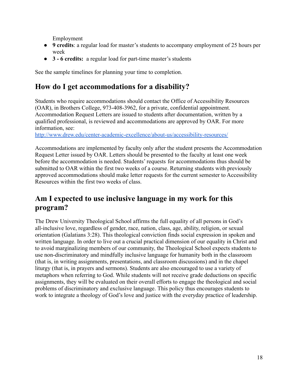Employment

- **9 credits**: a regular load for master's students to accompany employment of 25 hours per week
- **3 6 credits:** a regular load for part-time master's students

See the sample timelines for planning your time to completion.

#### **How do I get accommodations for a disability?**

Students who require accommodations should contact the Office of Accessibility Resources (OAR), in Brothers College, 973-408-3962, for a private, confidential appointment. Accommodation Request Letters are issued to students after documentation, written by a qualified professional, is reviewed and accommodations are approved by OAR. For more information, see:

<http://www.drew.edu/center-academic-excellence/about-us/accessibility-resources/>

Accommodations are implemented by faculty only after the student presents the Accommodation Request Letter issued by OAR. Letters should be presented to the faculty at least one week before the accommodation is needed. Students' requests for accommodations thus should be submitted to OAR within the first two weeks of a course. Returning students with previously approved accommodations should make letter requests for the current semester to Accessibility Resources within the first two weeks of class.

### **Am I expected to use inclusive language in my work for this program?**

The Drew University Theological School affirms the full equality of all persons in God's all-inclusive love, regardless of gender, race, nation, class, age, ability, religion, or sexual orientation (Galatians 3:28). This theological conviction finds social expression in spoken and written language. In order to live out a crucial practical dimension of our equality in Christ and to avoid marginalizing members of our community, the Theological School expects students to use non-discriminatory and mindfully inclusive language for humanity both in the classroom (that is, in writing assignments, presentations, and classroom discussions) and in the chapel liturgy (that is, in prayers and sermons). Students are also encouraged to use a variety of metaphors when referring to God. While students will not receive grade deductions on specific assignments, they will be evaluated on their overall efforts to engage the theological and social problems of discriminatory and exclusive language. This policy thus encourages students to work to integrate a theology of God's love and justice with the everyday practice of leadership.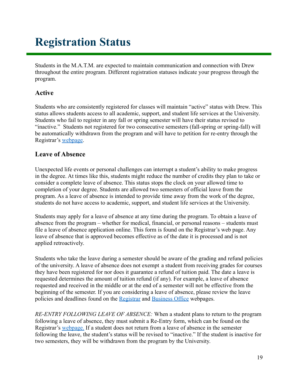# <span id="page-18-0"></span>**Registration Status**

Students in the M.A.T.M. are expected to maintain communication and connection with Drew throughout the entire program. Different registration statuses indicate your progress through the program.

#### **Active**

Students who are consistently registered for classes will maintain "active" status with Drew. This status allows students access to all academic, support, and student life services at the University. Students who fail to register in any fall or spring semester will have their status revised to "inactive." Students not registered for two consecutive semesters (fall-spring or spring-fall) will be automatically withdrawn from the program and will have to petition for re-entry through the Registrar's [webpage](http://www.drew.edu/registrars-office/).

#### **Leave of Absence**

Unexpected life events or personal challenges can interrupt a student's ability to make progress in the degree. At times like this, students might reduce the number of credits they plan to take or consider a complete leave of absence. This status stops the clock on your allowed time to completion of your degree. Students are allowed two semesters of official leave from the program. As a leave of absence is intended to provide time away from the work of the degree, students do not have access to academic, support, and student life services at the University.

Students may apply for a leave of absence at any time during the program. To obtain a leave of absence from the program – whether for medical, financial, or personal reasons – students must file a leave of absence application online. This form is found on the Registrar's web page. Any leave of absence that is approved becomes effective as of the date it is processed and is not applied retroactively.

Students who take the leave during a semester should be aware of the grading and refund policies of the university. A leave of absence does not exempt a student from receiving grades for courses they have been registered for nor does it guarantee a refund of tuition paid. The date a leave is requested determines the amount of tuition refund (if any). For example, a leave of absence requested and received in the middle or at the end of a semester will not be effective from the beginning of the semester. If you are considering a leave of absence, please review the leave policies and deadlines found on the [Registrar](http://www.drew.edu/registrars-office/) and [Business Office](http://www.drew.edu/fba/student-accounts/) webpages.

*RE-ENTRY FOLLOWING LEAVE OF ABSENCE:* When a student plans to return to the program following a leave of absence, they must submit a Re-Entry form, which can be found on the Registrar's [webpage.](http://www.drew.edu/registrars-office/) If a student does not return from a leave of absence in the semester following the leave, the student's status will be revised to "inactive." If the student is inactive for two semesters, they will be withdrawn from the program by the University.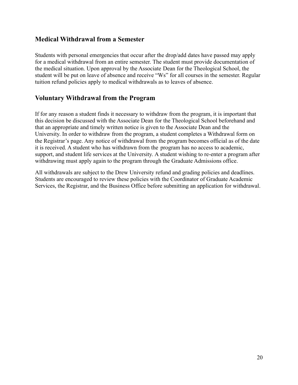#### **Medical Withdrawal from a Semester**

Students with personal emergencies that occur after the drop/add dates have passed may apply for a medical withdrawal from an entire semester. The student must provide documentation of the medical situation. Upon approval by the Associate Dean for the Theological School, the student will be put on leave of absence and receive "Ws" for all courses in the semester. Regular tuition refund policies apply to medical withdrawals as to leaves of absence.

#### **Voluntary Withdrawal from the Program**

If for any reason a student finds it necessary to withdraw from the program, it is important that this decision be discussed with the Associate Dean for the Theological School beforehand and that an appropriate and timely written notice is given to the Associate Dean and the University. In order to withdraw from the program, a student completes a Withdrawal form on the Registrar's page. Any notice of withdrawal from the program becomes official as of the date it is received. A student who has withdrawn from the program has no access to academic, support, and student life services at the University. A student wishing to re-enter a program after withdrawing must apply again to the program through the Graduate Admissions office.

All withdrawals are subject to the Drew University refund and grading policies and deadlines. Students are encouraged to review these policies with the Coordinator of Graduate Academic Services, the Registrar, and the Business Office before submitting an application for withdrawal.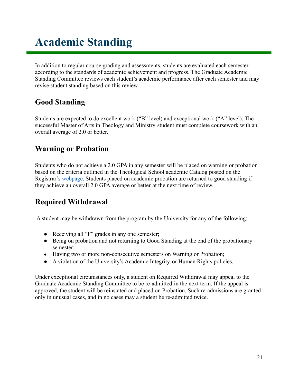# <span id="page-20-0"></span>**Academic Standing**

In addition to regular course grading and assessments, students are evaluated each semester according to the standards of academic achievement and progress. The Graduate Academic Standing Committee reviews each student's academic performance after each semester and may revise student standing based on this review.

### **Good Standing**

Students are expected to do excellent work ("B" level) and exceptional work ("A" level). The successful Master of Arts in Theology and Ministry student must complete coursework with an overall average of 2.0 or better.

#### **Warning or Probation**

Students who do not achieve a 2.0 GPA in any semester will be placed on warning or probation based on the criteria outlined in the Theological School academic Catalog posted on the Registrar's [webpage](http://www.drew.edu/registrars-office/). Students placed on academic probation are returned to good standing if they achieve an overall 2.0 GPA average or better at the next time of review.

### **Required Withdrawal**

A student may be withdrawn from the program by the University for any of the following:

- Receiving all "F" grades in any one semester;
- Being on probation and not returning to Good Standing at the end of the probationary semester;
- Having two or more non-consecutive semesters on Warning or Probation;
- A violation of the University's Academic Integrity or Human Rights policies.

Under exceptional circumstances only, a student on Required Withdrawal may appeal to the Graduate Academic Standing Committee to be re-admitted in the next term. If the appeal is approved, the student will be reinstated and placed on Probation. Such re-admissions are granted only in unusual cases, and in no cases may a student be re-admitted twice.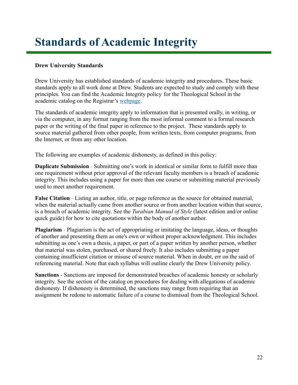## <span id="page-21-0"></span>**Standards of Academic Integrity**

#### **Drew University Standards**

Drew University has established standards of academic integrity and procedures. These basic standards apply to all work done at Drew. Students are expected to study and comply with these principles. You can find the Academic Integrity policy for the Theological School in the academic catalog on the Registrar's [webpage.](http://catalog.drew.edu/index.php?catoid=36)

The standards of academic integrity apply to information that is presented orally, in writing, or via the computer, in any format ranging from the most informal comment to a formal research paper or the writing of the final paper in reference to the project. These standards apply to source material gathered from other people, from written texts, from computer programs, from the Internet, or from any other location.

The following are examples of academic dishonesty, as defined in this policy:

**Duplicate Submission** - Submitting one's work in identical or similar form to fulfill more than one requirement without prior approval of the relevant faculty members is a breach of academic integrity. This includes using a paper for more than one course or submitting material previously used to meet another requirement.

**False Citation** - Listing an author, title, or page reference as the source for obtained material, when the material actually came from another source or from another location within that source, is a breach of academic integrity. See the *Turabian Manual of Style* (latest edition and/or online quick guide) for how to cite quotations within the body of another author.

**Plagiarism** - Plagiarism is the act of appropriating or imitating the language, ideas, or thoughts of another and presenting them as one's own or without proper acknowledgment. This includes submitting as one's own a thesis, a paper, or part of a paper written by another person, whether that material was stolen, purchased, or shared freely. It also includes submitting a paper containing insufficient citation or misuse of source material. When in doubt, err on the said of referencing material. Note that each syllabus will outline clearly the Drew University policy.

**Sanctions** - Sanctions are imposed for demonstrated breaches of academic honesty or scholarly integrity. See the section of the catalog on procedures for dealing with allegations of academic dishonesty. If dishonesty is determined, the sanctions may range from requiring that an assignment be redone to automatic failure of a course to dismissal from the Theological School.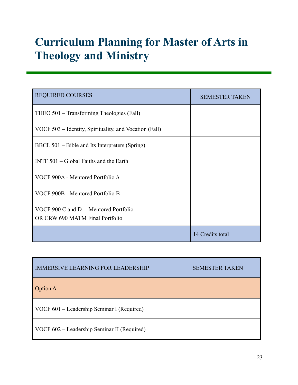# <span id="page-22-0"></span>**Curriculum Planning for Master of Arts in Theology and Ministry**

| <b>REQUIRED COURSES</b>                                                   | <b>SEMESTER TAKEN</b> |
|---------------------------------------------------------------------------|-----------------------|
| THEO 501 – Transforming Theologies (Fall)                                 |                       |
| VOCF 503 – Identity, Spirituality, and Vocation (Fall)                    |                       |
| BBCL 501 – Bible and Its Interpreters (Spring)                            |                       |
| INTF $501 - Global$ Faiths and the Earth                                  |                       |
| VOCF 900A - Mentored Portfolio A                                          |                       |
| VOCF 900B - Mentored Portfolio B                                          |                       |
| VOCF 900 C and D -- Mentored Portfolio<br>OR CRW 690 MATM Final Portfolio |                       |
|                                                                           | 14 Credits total      |

| <b>IMMERSIVE LEARNING FOR LEADERSHIP</b>    | <b>SEMESTER TAKEN</b> |
|---------------------------------------------|-----------------------|
| <b>Option A</b>                             |                       |
| VOCF 601 – Leadership Seminar I (Required)  |                       |
| VOCF 602 – Leadership Seminar II (Required) |                       |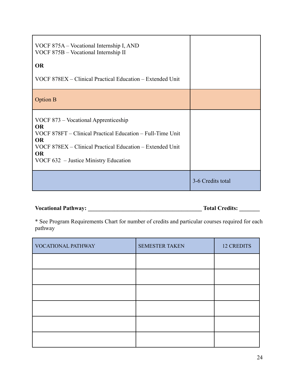| VOCF 875A – Vocational Internship I, AND<br>VOCF 875B - Vocational Internship II                                                                                                                                                                |                   |
|-------------------------------------------------------------------------------------------------------------------------------------------------------------------------------------------------------------------------------------------------|-------------------|
| <b>OR</b><br>VOCF 878EX – Clinical Practical Education – Extended Unit                                                                                                                                                                          |                   |
| <b>Option B</b>                                                                                                                                                                                                                                 |                   |
| VOCF 873 – Vocational Apprenticeship<br><b>OR</b><br>VOCF 878FT – Clinical Practical Education – Full-Time Unit<br><b>OR</b><br>VOCF 878EX – Clinical Practical Education – Extended Unit<br><b>OR</b><br>VOCF 632 – Justice Ministry Education |                   |
|                                                                                                                                                                                                                                                 | 3-6 Credits total |

**Vocational Pathway: \_\_\_\_\_\_\_\_\_\_\_\_\_\_\_\_\_\_\_\_\_\_\_\_\_\_\_\_\_\_\_\_\_\_\_\_\_\_\_ Total Credits: \_\_\_\_\_\_\_**

\* See Program Requirements Chart for number of credits and particular courses required for each pathway

| VOCATIONAL PATHWAY | <b>SEMESTER TAKEN</b> | <b>12 CREDITS</b> |
|--------------------|-----------------------|-------------------|
|                    |                       |                   |
|                    |                       |                   |
|                    |                       |                   |
|                    |                       |                   |
|                    |                       |                   |
|                    |                       |                   |